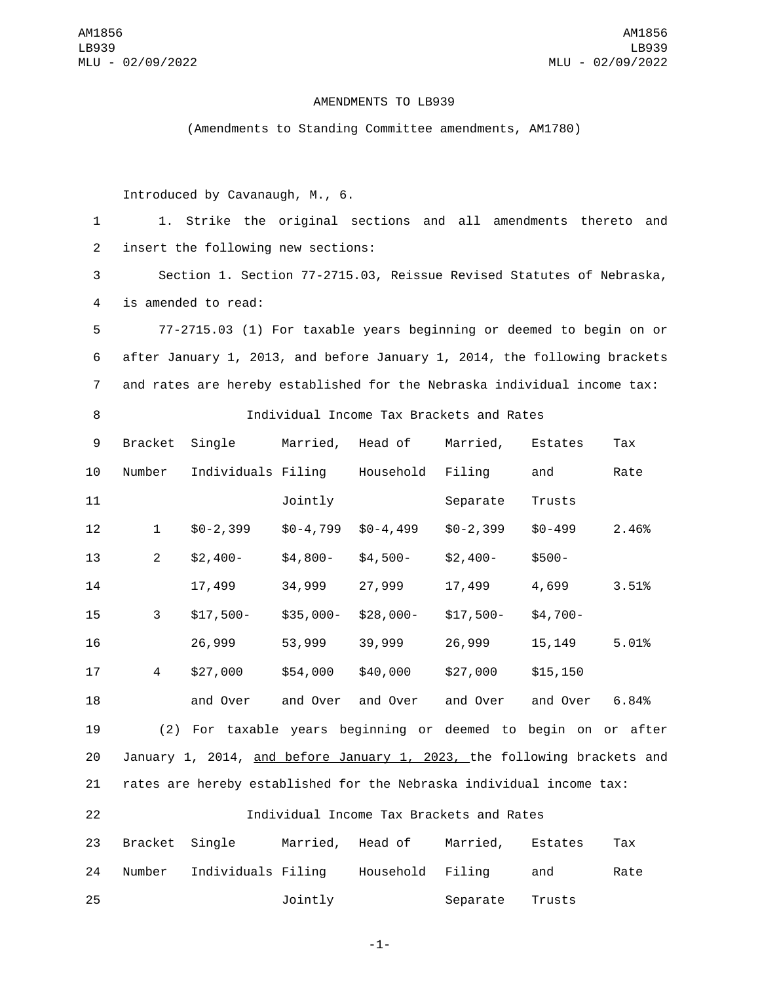## AMENDMENTS TO LB939

(Amendments to Standing Committee amendments, AM1780)

Introduced by Cavanaugh, M., 6.

1 1. Strike the original sections and all amendments thereto and 2 insert the following new sections:

3 Section 1. Section 77-2715.03, Reissue Revised Statutes of Nebraska, 4 is amended to read:

5 77-2715.03 (1) For taxable years beginning or deemed to begin on or 6 after January 1, 2013, and before January 1, 2014, the following brackets 7 and rates are hereby established for the Nebraska individual income tax:

8 Individual Income Tax Brackets and Rates

9 Bracket Single Married, Head of Married, Estates Tax 10 Number Individuals Filing Household Filing and Rate Jointly Separate Trusts \$0-2,399 \$0-4,799 \$0-4,499 \$0-2,399 \$0-499 2.46% \$2,400- \$4,800- \$4,500- \$2,400- \$500- 17,499 34,999 27,999 17,499 4,699 3.51% \$17,500- \$35,000- \$28,000- \$17,500- \$4,700- 26,999 53,999 39,999 26,999 15,149 5.01% \$27,000 \$54,000 \$40,000 \$27,000 \$15,150 and Over and Over and Over and Over and Over 6.84% (2) For taxable years beginning or deemed to begin on or after January 1, 2014, and before January 1, 2023, the following brackets and rates are hereby established for the Nebraska individual income tax: Individual Income Tax Brackets and Rates 23 Bracket Single Married, Head of Married, Estates Tax 24 Number Individuals Filing Household Filing and Rate Jointly Separate Trusts

-1-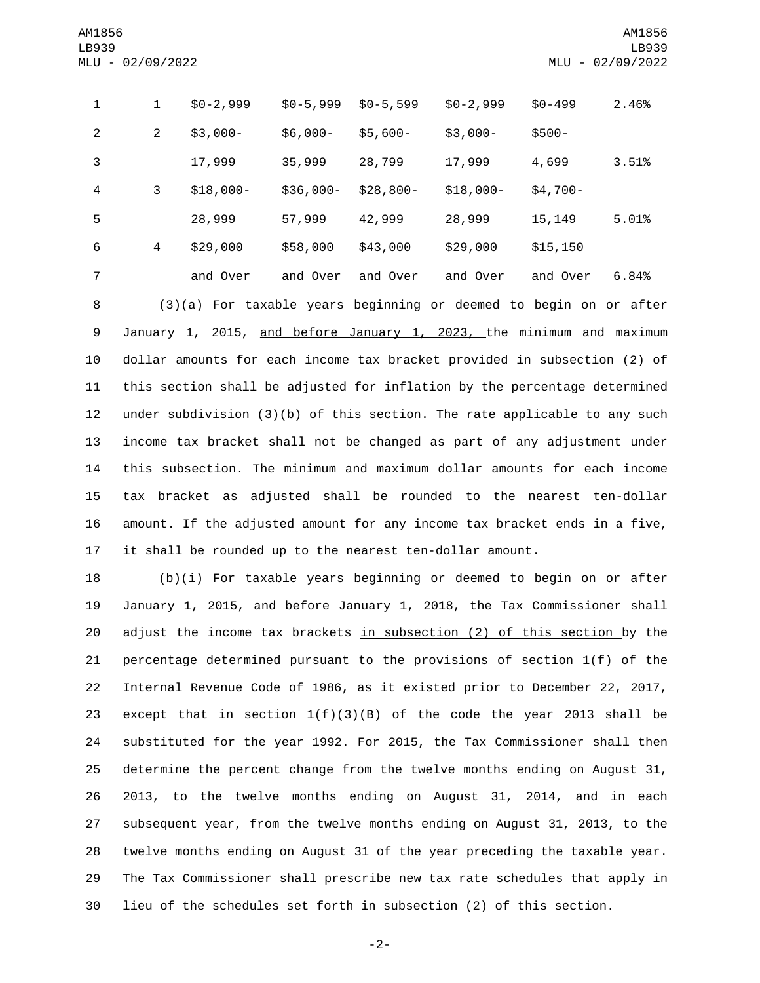| $\mathbf{1}$   | $\mathbf{1}$                                                              | $$0-2,999$                                                                  | $$0-5,999$ | $$0-5,599$ | $$0-2,999$ | $$0 - 499$ | 2.46% |  |  |  |
|----------------|---------------------------------------------------------------------------|-----------------------------------------------------------------------------|------------|------------|------------|------------|-------|--|--|--|
| $\overline{2}$ | $\overline{2}$                                                            | $$3,000-$                                                                   | $$6,000-$  | $$5,600-$  | $$3,000-$  | $$500 -$   |       |  |  |  |
| 3              |                                                                           | 17,999                                                                      | 35,999     | 28,799     | 17,999     | 4,699      | 3.51% |  |  |  |
| $\overline{4}$ | 3                                                                         | $$18,000-$                                                                  | $$36,000-$ | $$28,800-$ | $$18,000-$ | $$4,700-$  |       |  |  |  |
| 5              |                                                                           | 28,999                                                                      | 57,999     | 42,999     | 28,999     | 15,149     | 5.01% |  |  |  |
| 6              | $\overline{4}$                                                            | \$29,000                                                                    | \$58,000   | \$43,000   | \$29,000   | \$15, 150  |       |  |  |  |
| $\overline{7}$ |                                                                           | and Over                                                                    | and Over   | and Over   | and Over   | and Over   | 6.84% |  |  |  |
| 8              |                                                                           | (3)(a) For taxable years beginning or deemed to begin on or after           |            |            |            |            |       |  |  |  |
| 9              |                                                                           | January 1, 2015, and before January 1, 2023, the minimum and maximum        |            |            |            |            |       |  |  |  |
| 10             | dollar amounts for each income tax bracket provided in subsection (2) of  |                                                                             |            |            |            |            |       |  |  |  |
| 11             | this section shall be adjusted for inflation by the percentage determined |                                                                             |            |            |            |            |       |  |  |  |
| 12             |                                                                           | under subdivision $(3)(b)$ of this section. The rate applicable to any such |            |            |            |            |       |  |  |  |
| 13             |                                                                           | income tax bracket shall not be changed as part of any adjustment under     |            |            |            |            |       |  |  |  |
| 14             |                                                                           | this subsection. The minimum and maximum dollar amounts for each income     |            |            |            |            |       |  |  |  |
|                |                                                                           |                                                                             |            |            |            |            |       |  |  |  |

 tax bracket as adjusted shall be rounded to the nearest ten-dollar amount. If the adjusted amount for any income tax bracket ends in a five, it shall be rounded up to the nearest ten-dollar amount.

 (b)(i) For taxable years beginning or deemed to begin on or after January 1, 2015, and before January 1, 2018, the Tax Commissioner shall 20 adjust the income tax brackets in subsection (2) of this section by the percentage determined pursuant to the provisions of section 1(f) of the Internal Revenue Code of 1986, as it existed prior to December 22, 2017, except that in section 1(f)(3)(B) of the code the year 2013 shall be substituted for the year 1992. For 2015, the Tax Commissioner shall then determine the percent change from the twelve months ending on August 31, 2013, to the twelve months ending on August 31, 2014, and in each subsequent year, from the twelve months ending on August 31, 2013, to the twelve months ending on August 31 of the year preceding the taxable year. The Tax Commissioner shall prescribe new tax rate schedules that apply in lieu of the schedules set forth in subsection (2) of this section.

-2-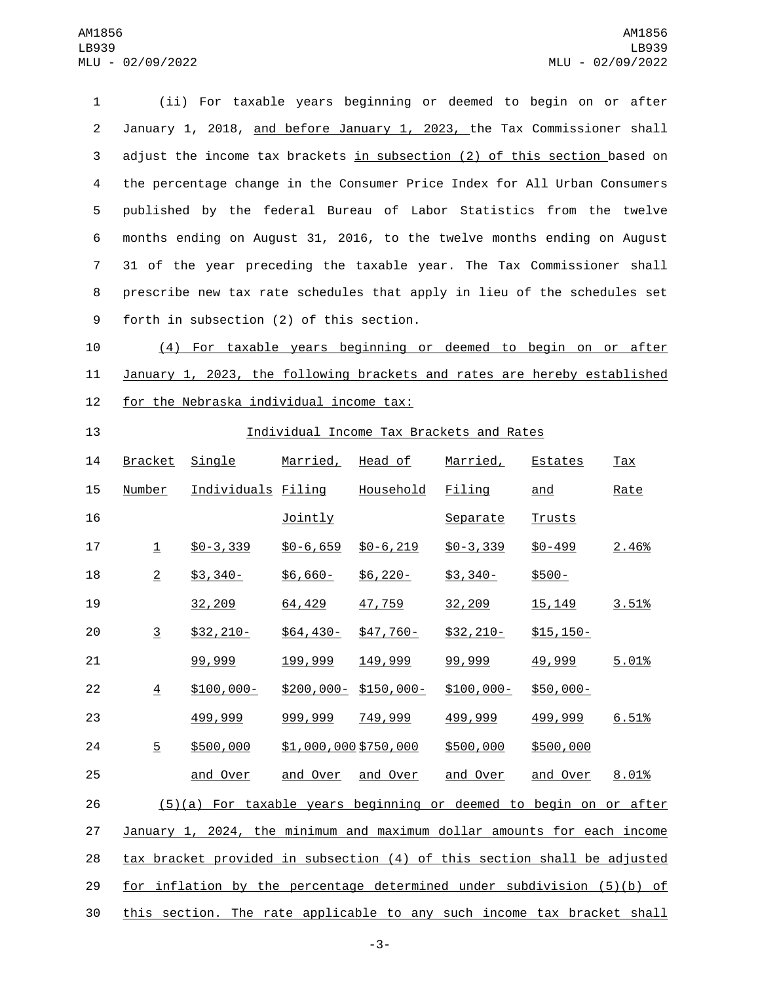(ii) For taxable years beginning or deemed to begin on or after January 1, 2018, and before January 1, 2023, the Tax Commissioner shall 3 adjust the income tax brackets in subsection (2) of this section based on the percentage change in the Consumer Price Index for All Urban Consumers published by the federal Bureau of Labor Statistics from the twelve months ending on August 31, 2016, to the twelve months ending on August 31 of the year preceding the taxable year. The Tax Commissioner shall prescribe new tax rate schedules that apply in lieu of the schedules set 9 forth in subsection (2) of this section.

 (4) For taxable years beginning or deemed to begin on or after January 1, 2023, the following brackets and rates are hereby established 12 for the Nebraska individual income tax:

## Individual Income Tax Brackets and Rates

| 14 | Bracket                                                                  | Single             | Married,              | Head of                 | Married,       | Estates        | Tax   |  |  |  |  |
|----|--------------------------------------------------------------------------|--------------------|-----------------------|-------------------------|----------------|----------------|-------|--|--|--|--|
| 15 | Number                                                                   | Individuals Filing |                       | Household               | Filing         | and            | Rate  |  |  |  |  |
| 16 |                                                                          |                    | <b>Jointly</b>        |                         | Separate       | <b>Trusts</b>  |       |  |  |  |  |
| 17 | $\mathbf{\underline{1}}$                                                 | $$0 - 3,339$       | $$0 - 6, 659$         | $$0 - 6, 219$           | $$0 - 3, 339$  | $$0 - 499$     | 2.46% |  |  |  |  |
| 18 | $\overline{2}$                                                           | $$3,340-$          | $$6,660-$             | $$6,220-$               | $$3,340-$      | \$500-         |       |  |  |  |  |
| 19 |                                                                          | 32,209             | 64,429                | 47,759                  | 32,209         | <u>15, 149</u> | 3.51% |  |  |  |  |
| 20 | $\overline{3}$                                                           | $$32, 210-$        | $$64,430-$            | $$47,760-$              | $$32,210-$     | $$15, 150-$    |       |  |  |  |  |
| 21 |                                                                          | 99,999             | 199,999               | 149,999                 | 99,999         | 49,999         | 5.01% |  |  |  |  |
| 22 | $\overline{4}$                                                           | $$100,000 -$       |                       | $$200,000 - $150,000 -$ | $$100,000-$    | $$50,000-$     |       |  |  |  |  |
| 23 |                                                                          | 499,999            | 999,999               | 749,999                 | <u>499,999</u> | 499,999        | 6.51% |  |  |  |  |
| 24 | 5                                                                        | \$500,000          | \$1,000,000 \$750,000 |                         | \$500,000      | \$500,000      |       |  |  |  |  |
| 25 |                                                                          | and Over           | and Over              | and Over                | and Over       | and Over       | 8.01% |  |  |  |  |
| 26 | (5)(a) For taxable years beginning or deemed to begin on or after        |                    |                       |                         |                |                |       |  |  |  |  |
| 27 | January 1, 2024, the minimum and maximum dollar amounts for each income  |                    |                       |                         |                |                |       |  |  |  |  |
| 28 | tax bracket provided in subsection (4) of this section shall be adjusted |                    |                       |                         |                |                |       |  |  |  |  |
| 29 | for inflation by the percentage determined under subdivision (5)(b) of   |                    |                       |                         |                |                |       |  |  |  |  |
| 30 | this section. The rate applicable to any such income tax bracket shall   |                    |                       |                         |                |                |       |  |  |  |  |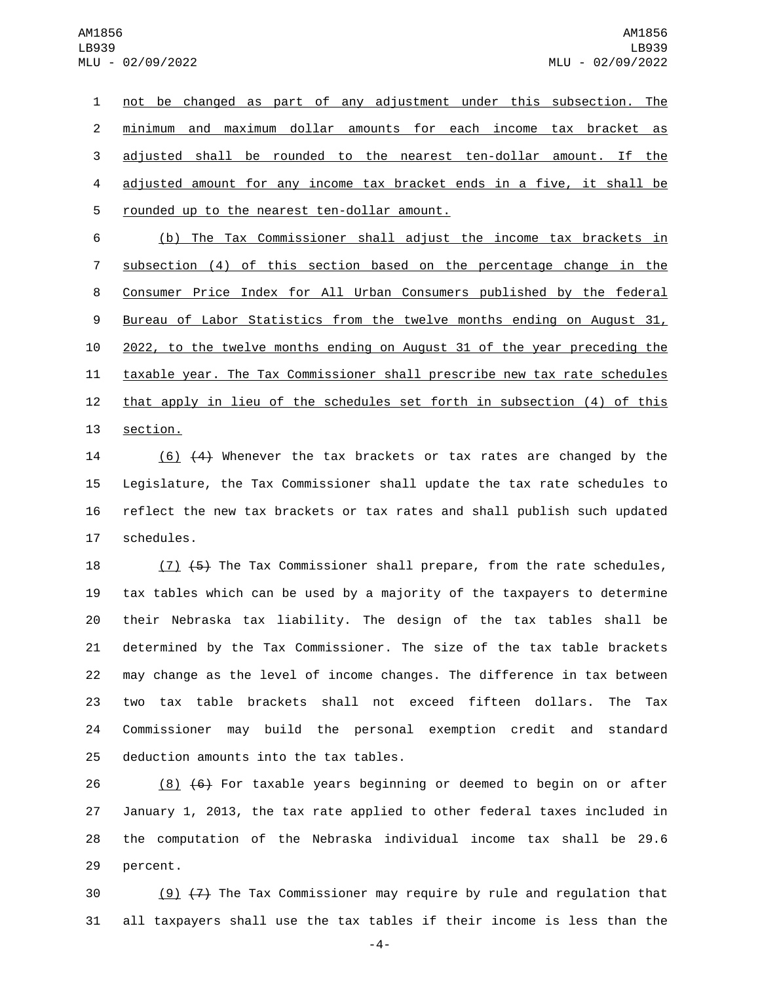not be changed as part of any adjustment under this subsection. The minimum and maximum dollar amounts for each income tax bracket as adjusted shall be rounded to the nearest ten-dollar amount. If the adjusted amount for any income tax bracket ends in a five, it shall be 5 rounded up to the nearest ten-dollar amount.

 (b) The Tax Commissioner shall adjust the income tax brackets in subsection (4) of this section based on the percentage change in the Consumer Price Index for All Urban Consumers published by the federal 9 Bureau of Labor Statistics from the twelve months ending on August 31, 2022, to the twelve months ending on August 31 of the year preceding the taxable year. The Tax Commissioner shall prescribe new tax rate schedules 12 that apply in lieu of the schedules set forth in subsection (4) of this 13 section.

14 (6) (4) Whenever the tax brackets or tax rates are changed by the 15 Legislature, the Tax Commissioner shall update the tax rate schedules to 16 reflect the new tax brackets or tax rates and shall publish such updated 17 schedules.

18 (7) (5) The Tax Commissioner shall prepare, from the rate schedules, tax tables which can be used by a majority of the taxpayers to determine their Nebraska tax liability. The design of the tax tables shall be determined by the Tax Commissioner. The size of the tax table brackets may change as the level of income changes. The difference in tax between two tax table brackets shall not exceed fifteen dollars. The Tax Commissioner may build the personal exemption credit and standard 25 deduction amounts into the tax tables.

26 (8)  $\left( 6 \right)$  For taxable years beginning or deemed to begin on or after 27 January 1, 2013, the tax rate applied to other federal taxes included in 28 the computation of the Nebraska individual income tax shall be 29.6 29 percent.

30  $(9)$   $(7)$  The Tax Commissioner may require by rule and regulation that 31 all taxpayers shall use the tax tables if their income is less than the

-4-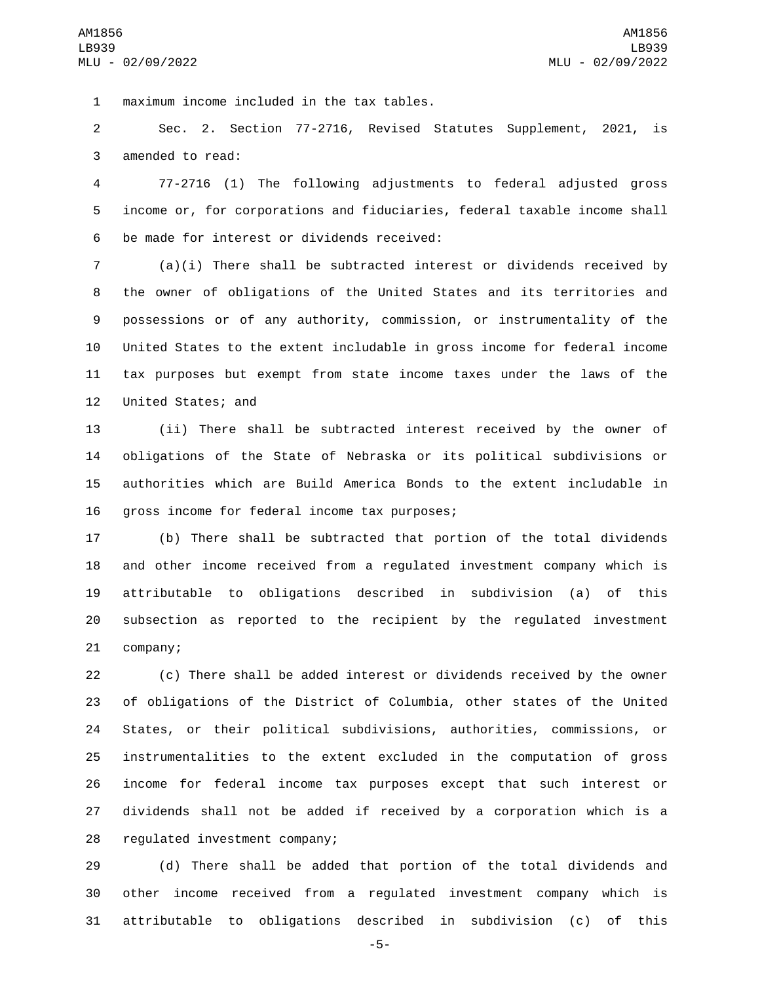maximum income included in the tax tables.1

 Sec. 2. Section 77-2716, Revised Statutes Supplement, 2021, is 3 amended to read:

 77-2716 (1) The following adjustments to federal adjusted gross income or, for corporations and fiduciaries, federal taxable income shall 6 be made for interest or dividends received:

 (a)(i) There shall be subtracted interest or dividends received by the owner of obligations of the United States and its territories and possessions or of any authority, commission, or instrumentality of the United States to the extent includable in gross income for federal income tax purposes but exempt from state income taxes under the laws of the 12 United States; and

 (ii) There shall be subtracted interest received by the owner of obligations of the State of Nebraska or its political subdivisions or authorities which are Build America Bonds to the extent includable in 16 gross income for federal income tax purposes;

 (b) There shall be subtracted that portion of the total dividends and other income received from a regulated investment company which is attributable to obligations described in subdivision (a) of this subsection as reported to the recipient by the regulated investment 21 company;

 (c) There shall be added interest or dividends received by the owner of obligations of the District of Columbia, other states of the United States, or their political subdivisions, authorities, commissions, or instrumentalities to the extent excluded in the computation of gross income for federal income tax purposes except that such interest or dividends shall not be added if received by a corporation which is a 28 regulated investment company;

 (d) There shall be added that portion of the total dividends and other income received from a regulated investment company which is attributable to obligations described in subdivision (c) of this

-5-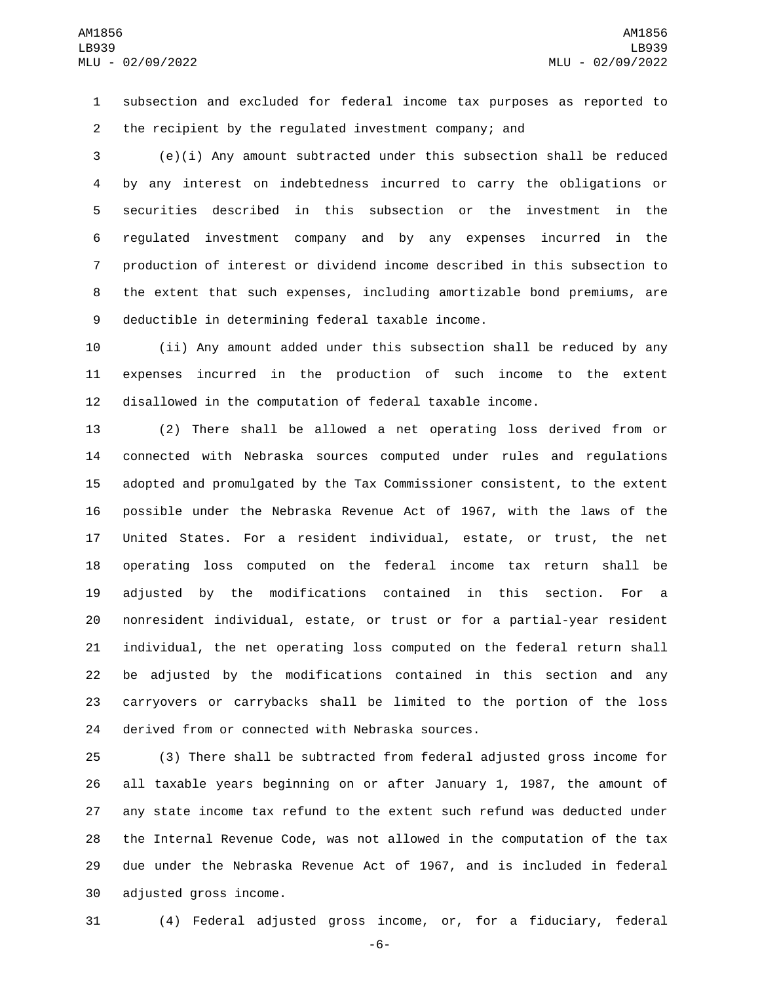subsection and excluded for federal income tax purposes as reported to the recipient by the regulated investment company; and

 (e)(i) Any amount subtracted under this subsection shall be reduced by any interest on indebtedness incurred to carry the obligations or securities described in this subsection or the investment in the regulated investment company and by any expenses incurred in the production of interest or dividend income described in this subsection to the extent that such expenses, including amortizable bond premiums, are 9 deductible in determining federal taxable income.

 (ii) Any amount added under this subsection shall be reduced by any expenses incurred in the production of such income to the extent disallowed in the computation of federal taxable income.

 (2) There shall be allowed a net operating loss derived from or connected with Nebraska sources computed under rules and regulations adopted and promulgated by the Tax Commissioner consistent, to the extent possible under the Nebraska Revenue Act of 1967, with the laws of the United States. For a resident individual, estate, or trust, the net operating loss computed on the federal income tax return shall be adjusted by the modifications contained in this section. For a nonresident individual, estate, or trust or for a partial-year resident individual, the net operating loss computed on the federal return shall be adjusted by the modifications contained in this section and any carryovers or carrybacks shall be limited to the portion of the loss 24 derived from or connected with Nebraska sources.

 (3) There shall be subtracted from federal adjusted gross income for all taxable years beginning on or after January 1, 1987, the amount of any state income tax refund to the extent such refund was deducted under the Internal Revenue Code, was not allowed in the computation of the tax due under the Nebraska Revenue Act of 1967, and is included in federal 30 adjusted gross income.

(4) Federal adjusted gross income, or, for a fiduciary, federal

-6-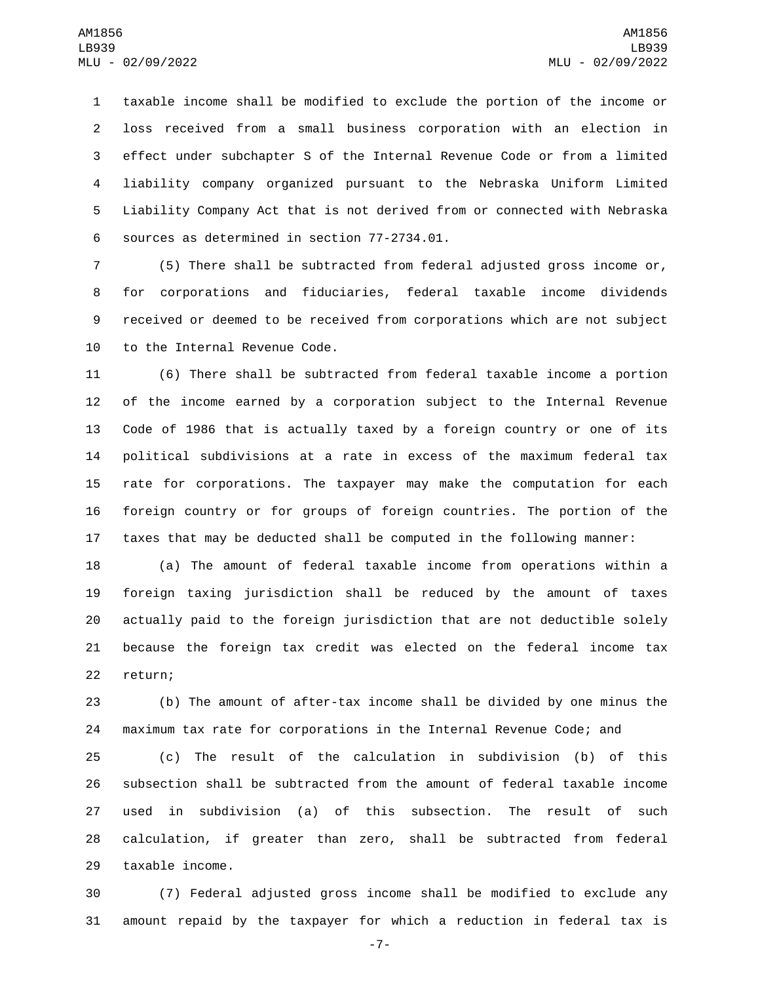taxable income shall be modified to exclude the portion of the income or loss received from a small business corporation with an election in effect under subchapter S of the Internal Revenue Code or from a limited liability company organized pursuant to the Nebraska Uniform Limited Liability Company Act that is not derived from or connected with Nebraska 6 sources as determined in section 77-2734.01.

 (5) There shall be subtracted from federal adjusted gross income or, for corporations and fiduciaries, federal taxable income dividends received or deemed to be received from corporations which are not subject 10 to the Internal Revenue Code.

 (6) There shall be subtracted from federal taxable income a portion of the income earned by a corporation subject to the Internal Revenue Code of 1986 that is actually taxed by a foreign country or one of its political subdivisions at a rate in excess of the maximum federal tax rate for corporations. The taxpayer may make the computation for each foreign country or for groups of foreign countries. The portion of the taxes that may be deducted shall be computed in the following manner:

 (a) The amount of federal taxable income from operations within a foreign taxing jurisdiction shall be reduced by the amount of taxes actually paid to the foreign jurisdiction that are not deductible solely because the foreign tax credit was elected on the federal income tax 22 return;

 (b) The amount of after-tax income shall be divided by one minus the maximum tax rate for corporations in the Internal Revenue Code; and

 (c) The result of the calculation in subdivision (b) of this subsection shall be subtracted from the amount of federal taxable income used in subdivision (a) of this subsection. The result of such calculation, if greater than zero, shall be subtracted from federal 29 taxable income.

 (7) Federal adjusted gross income shall be modified to exclude any amount repaid by the taxpayer for which a reduction in federal tax is

-7-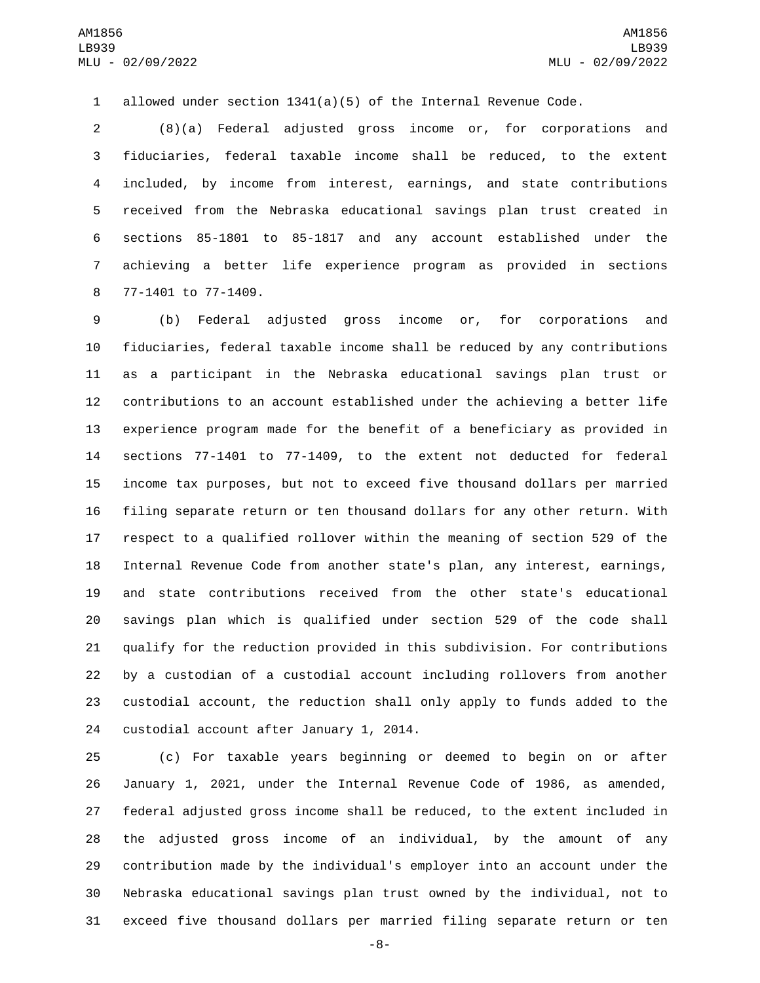allowed under section 1341(a)(5) of the Internal Revenue Code.

 (8)(a) Federal adjusted gross income or, for corporations and fiduciaries, federal taxable income shall be reduced, to the extent included, by income from interest, earnings, and state contributions received from the Nebraska educational savings plan trust created in sections 85-1801 to 85-1817 and any account established under the achieving a better life experience program as provided in sections 8 77-1401 to 77-1409.

 (b) Federal adjusted gross income or, for corporations and fiduciaries, federal taxable income shall be reduced by any contributions as a participant in the Nebraska educational savings plan trust or contributions to an account established under the achieving a better life experience program made for the benefit of a beneficiary as provided in sections 77-1401 to 77-1409, to the extent not deducted for federal income tax purposes, but not to exceed five thousand dollars per married filing separate return or ten thousand dollars for any other return. With respect to a qualified rollover within the meaning of section 529 of the Internal Revenue Code from another state's plan, any interest, earnings, and state contributions received from the other state's educational savings plan which is qualified under section 529 of the code shall qualify for the reduction provided in this subdivision. For contributions by a custodian of a custodial account including rollovers from another custodial account, the reduction shall only apply to funds added to the 24 custodial account after January 1, 2014.

 (c) For taxable years beginning or deemed to begin on or after January 1, 2021, under the Internal Revenue Code of 1986, as amended, federal adjusted gross income shall be reduced, to the extent included in the adjusted gross income of an individual, by the amount of any contribution made by the individual's employer into an account under the Nebraska educational savings plan trust owned by the individual, not to exceed five thousand dollars per married filing separate return or ten

-8-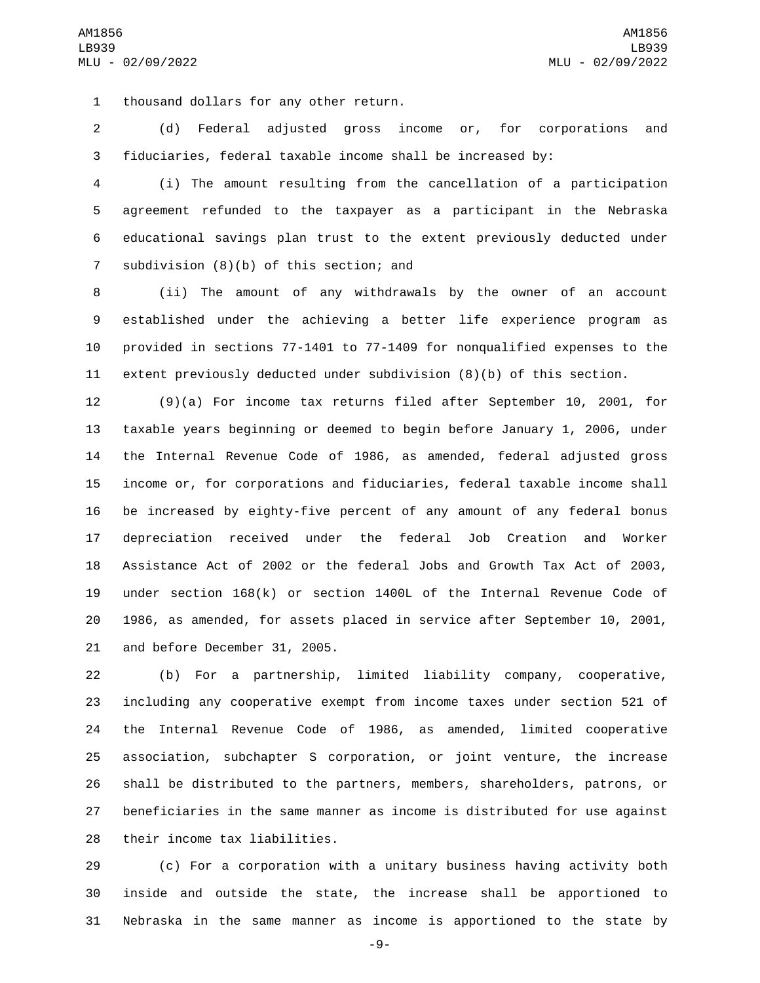1 thousand dollars for any other return.

 (d) Federal adjusted gross income or, for corporations and fiduciaries, federal taxable income shall be increased by:

 (i) The amount resulting from the cancellation of a participation agreement refunded to the taxpayer as a participant in the Nebraska educational savings plan trust to the extent previously deducted under 7 subdivision  $(8)(b)$  of this section; and

 (ii) The amount of any withdrawals by the owner of an account established under the achieving a better life experience program as provided in sections 77-1401 to 77-1409 for nonqualified expenses to the extent previously deducted under subdivision (8)(b) of this section.

 (9)(a) For income tax returns filed after September 10, 2001, for taxable years beginning or deemed to begin before January 1, 2006, under the Internal Revenue Code of 1986, as amended, federal adjusted gross income or, for corporations and fiduciaries, federal taxable income shall be increased by eighty-five percent of any amount of any federal bonus depreciation received under the federal Job Creation and Worker Assistance Act of 2002 or the federal Jobs and Growth Tax Act of 2003, under section 168(k) or section 1400L of the Internal Revenue Code of 1986, as amended, for assets placed in service after September 10, 2001, 21 and before December 31, 2005.

 (b) For a partnership, limited liability company, cooperative, including any cooperative exempt from income taxes under section 521 of the Internal Revenue Code of 1986, as amended, limited cooperative association, subchapter S corporation, or joint venture, the increase shall be distributed to the partners, members, shareholders, patrons, or beneficiaries in the same manner as income is distributed for use against 28 their income tax liabilities.

 (c) For a corporation with a unitary business having activity both inside and outside the state, the increase shall be apportioned to Nebraska in the same manner as income is apportioned to the state by

-9-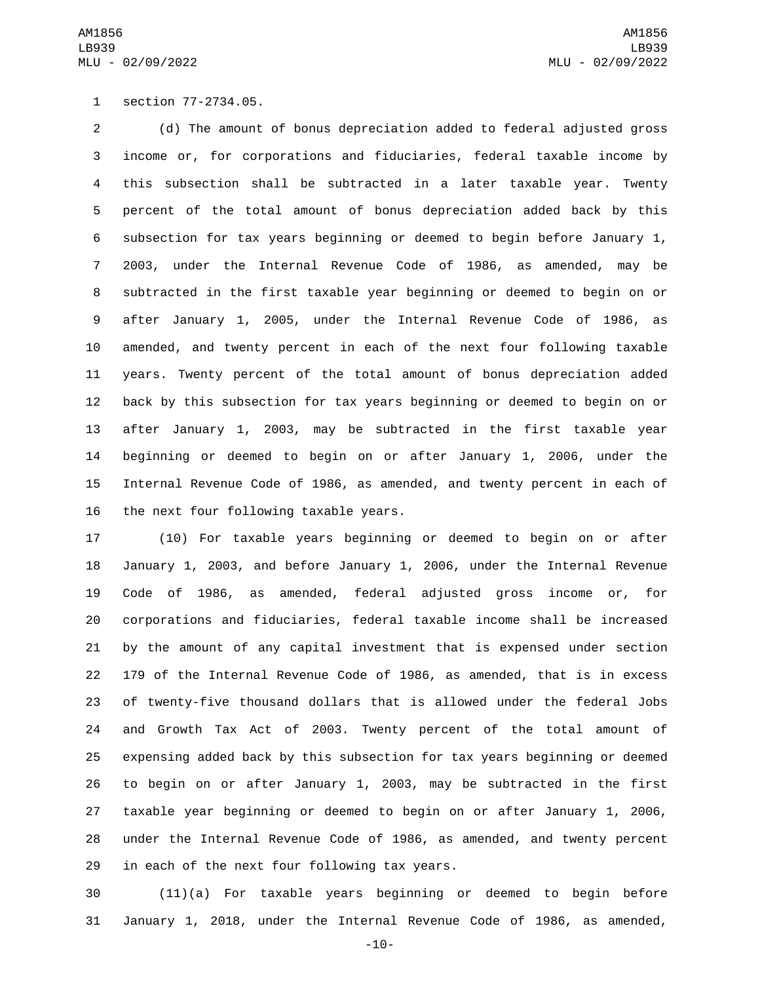1 section 77-2734.05.

 (d) The amount of bonus depreciation added to federal adjusted gross income or, for corporations and fiduciaries, federal taxable income by this subsection shall be subtracted in a later taxable year. Twenty percent of the total amount of bonus depreciation added back by this subsection for tax years beginning or deemed to begin before January 1, 2003, under the Internal Revenue Code of 1986, as amended, may be subtracted in the first taxable year beginning or deemed to begin on or after January 1, 2005, under the Internal Revenue Code of 1986, as amended, and twenty percent in each of the next four following taxable years. Twenty percent of the total amount of bonus depreciation added back by this subsection for tax years beginning or deemed to begin on or after January 1, 2003, may be subtracted in the first taxable year beginning or deemed to begin on or after January 1, 2006, under the Internal Revenue Code of 1986, as amended, and twenty percent in each of 16 the next four following taxable years.

 (10) For taxable years beginning or deemed to begin on or after January 1, 2003, and before January 1, 2006, under the Internal Revenue Code of 1986, as amended, federal adjusted gross income or, for corporations and fiduciaries, federal taxable income shall be increased by the amount of any capital investment that is expensed under section 179 of the Internal Revenue Code of 1986, as amended, that is in excess of twenty-five thousand dollars that is allowed under the federal Jobs and Growth Tax Act of 2003. Twenty percent of the total amount of expensing added back by this subsection for tax years beginning or deemed to begin on or after January 1, 2003, may be subtracted in the first taxable year beginning or deemed to begin on or after January 1, 2006, under the Internal Revenue Code of 1986, as amended, and twenty percent 29 in each of the next four following tax years.

 (11)(a) For taxable years beginning or deemed to begin before January 1, 2018, under the Internal Revenue Code of 1986, as amended,

-10-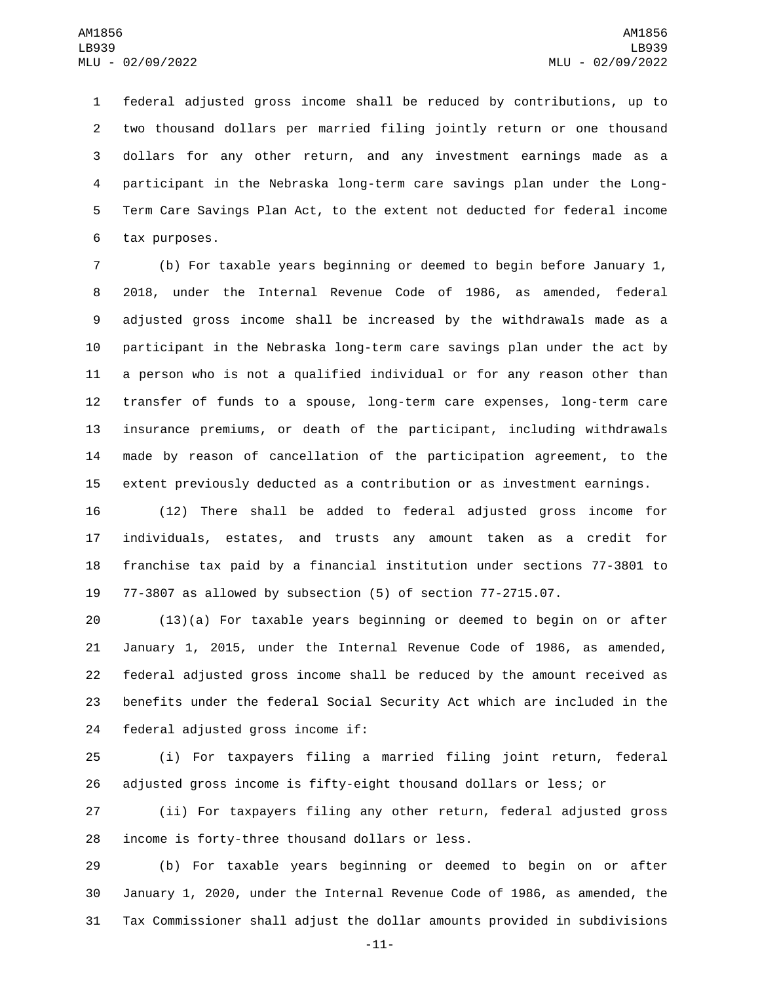federal adjusted gross income shall be reduced by contributions, up to two thousand dollars per married filing jointly return or one thousand dollars for any other return, and any investment earnings made as a participant in the Nebraska long-term care savings plan under the Long- Term Care Savings Plan Act, to the extent not deducted for federal income 6 tax purposes.

 (b) For taxable years beginning or deemed to begin before January 1, 2018, under the Internal Revenue Code of 1986, as amended, federal adjusted gross income shall be increased by the withdrawals made as a participant in the Nebraska long-term care savings plan under the act by a person who is not a qualified individual or for any reason other than transfer of funds to a spouse, long-term care expenses, long-term care insurance premiums, or death of the participant, including withdrawals made by reason of cancellation of the participation agreement, to the extent previously deducted as a contribution or as investment earnings.

 (12) There shall be added to federal adjusted gross income for individuals, estates, and trusts any amount taken as a credit for franchise tax paid by a financial institution under sections 77-3801 to 77-3807 as allowed by subsection (5) of section 77-2715.07.

 (13)(a) For taxable years beginning or deemed to begin on or after January 1, 2015, under the Internal Revenue Code of 1986, as amended, federal adjusted gross income shall be reduced by the amount received as benefits under the federal Social Security Act which are included in the 24 federal adjusted gross income if:

 (i) For taxpayers filing a married filing joint return, federal adjusted gross income is fifty-eight thousand dollars or less; or

 (ii) For taxpayers filing any other return, federal adjusted gross 28 income is forty-three thousand dollars or less.

 (b) For taxable years beginning or deemed to begin on or after January 1, 2020, under the Internal Revenue Code of 1986, as amended, the Tax Commissioner shall adjust the dollar amounts provided in subdivisions

-11-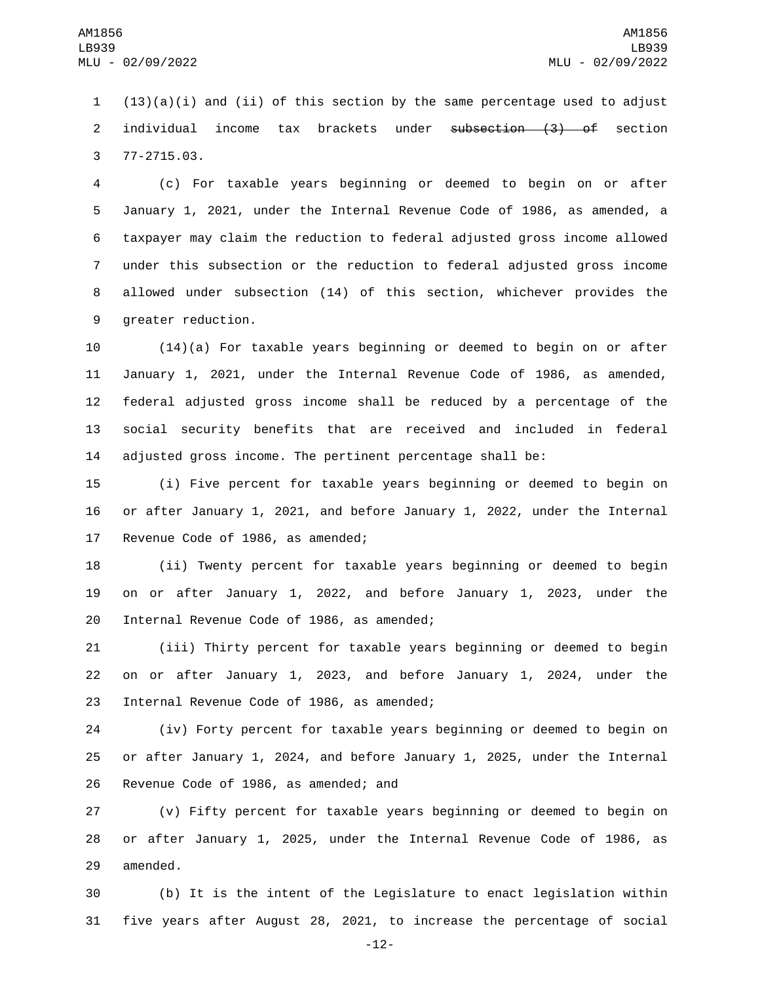1  $(13)(a)(i)$  and (ii) of this section by the same percentage used to adjust 2 individual income tax brackets under subsection (3) of section 77-2715.03.3

 (c) For taxable years beginning or deemed to begin on or after January 1, 2021, under the Internal Revenue Code of 1986, as amended, a taxpayer may claim the reduction to federal adjusted gross income allowed under this subsection or the reduction to federal adjusted gross income allowed under subsection (14) of this section, whichever provides the 9 greater reduction.

 (14)(a) For taxable years beginning or deemed to begin on or after January 1, 2021, under the Internal Revenue Code of 1986, as amended, federal adjusted gross income shall be reduced by a percentage of the social security benefits that are received and included in federal adjusted gross income. The pertinent percentage shall be:

15 (i) Five percent for taxable years beginning or deemed to begin on 16 or after January 1, 2021, and before January 1, 2022, under the Internal 17 Revenue Code of 1986, as amended;

18 (ii) Twenty percent for taxable years beginning or deemed to begin 19 on or after January 1, 2022, and before January 1, 2023, under the 20 Internal Revenue Code of 1986, as amended;

21 (iii) Thirty percent for taxable years beginning or deemed to begin 22 on or after January 1, 2023, and before January 1, 2024, under the 23 Internal Revenue Code of 1986, as amended;

24 (iv) Forty percent for taxable years beginning or deemed to begin on 25 or after January 1, 2024, and before January 1, 2025, under the Internal 26 Revenue Code of 1986, as amended; and

27 (v) Fifty percent for taxable years beginning or deemed to begin on 28 or after January 1, 2025, under the Internal Revenue Code of 1986, as 29 amended.

30 (b) It is the intent of the Legislature to enact legislation within 31 five years after August 28, 2021, to increase the percentage of social

-12-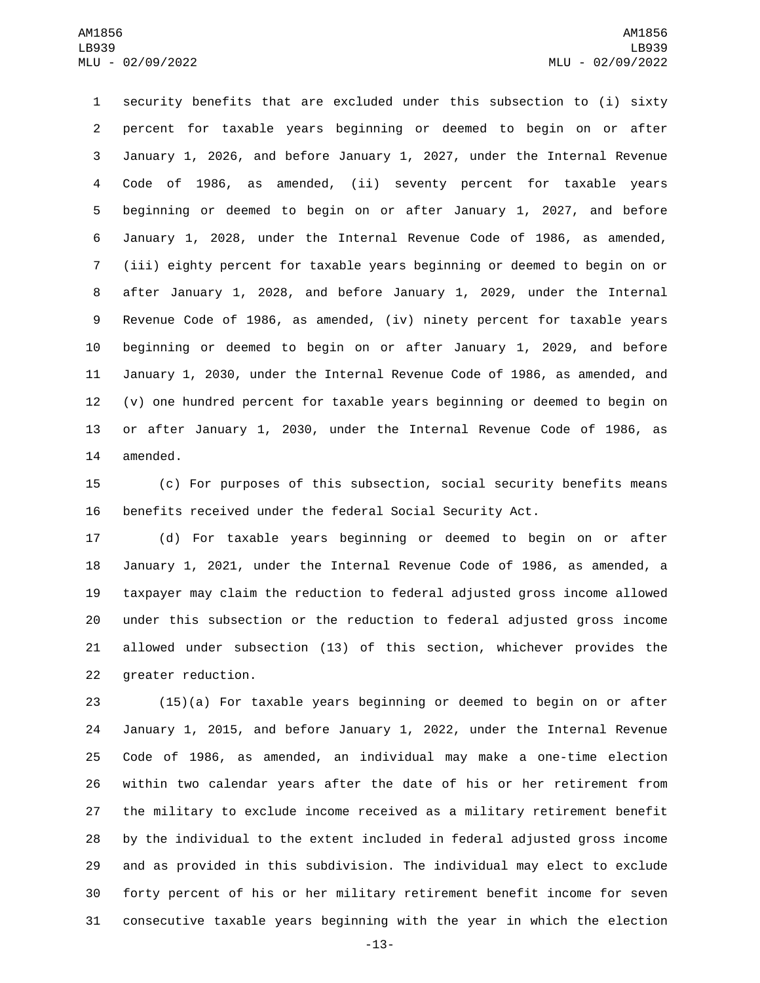security benefits that are excluded under this subsection to (i) sixty percent for taxable years beginning or deemed to begin on or after January 1, 2026, and before January 1, 2027, under the Internal Revenue Code of 1986, as amended, (ii) seventy percent for taxable years beginning or deemed to begin on or after January 1, 2027, and before January 1, 2028, under the Internal Revenue Code of 1986, as amended, (iii) eighty percent for taxable years beginning or deemed to begin on or after January 1, 2028, and before January 1, 2029, under the Internal Revenue Code of 1986, as amended, (iv) ninety percent for taxable years beginning or deemed to begin on or after January 1, 2029, and before January 1, 2030, under the Internal Revenue Code of 1986, as amended, and (v) one hundred percent for taxable years beginning or deemed to begin on or after January 1, 2030, under the Internal Revenue Code of 1986, as 14 amended.

 (c) For purposes of this subsection, social security benefits means benefits received under the federal Social Security Act.

 (d) For taxable years beginning or deemed to begin on or after January 1, 2021, under the Internal Revenue Code of 1986, as amended, a taxpayer may claim the reduction to federal adjusted gross income allowed under this subsection or the reduction to federal adjusted gross income allowed under subsection (13) of this section, whichever provides the 22 greater reduction.

 (15)(a) For taxable years beginning or deemed to begin on or after January 1, 2015, and before January 1, 2022, under the Internal Revenue Code of 1986, as amended, an individual may make a one-time election within two calendar years after the date of his or her retirement from the military to exclude income received as a military retirement benefit by the individual to the extent included in federal adjusted gross income and as provided in this subdivision. The individual may elect to exclude forty percent of his or her military retirement benefit income for seven consecutive taxable years beginning with the year in which the election

-13-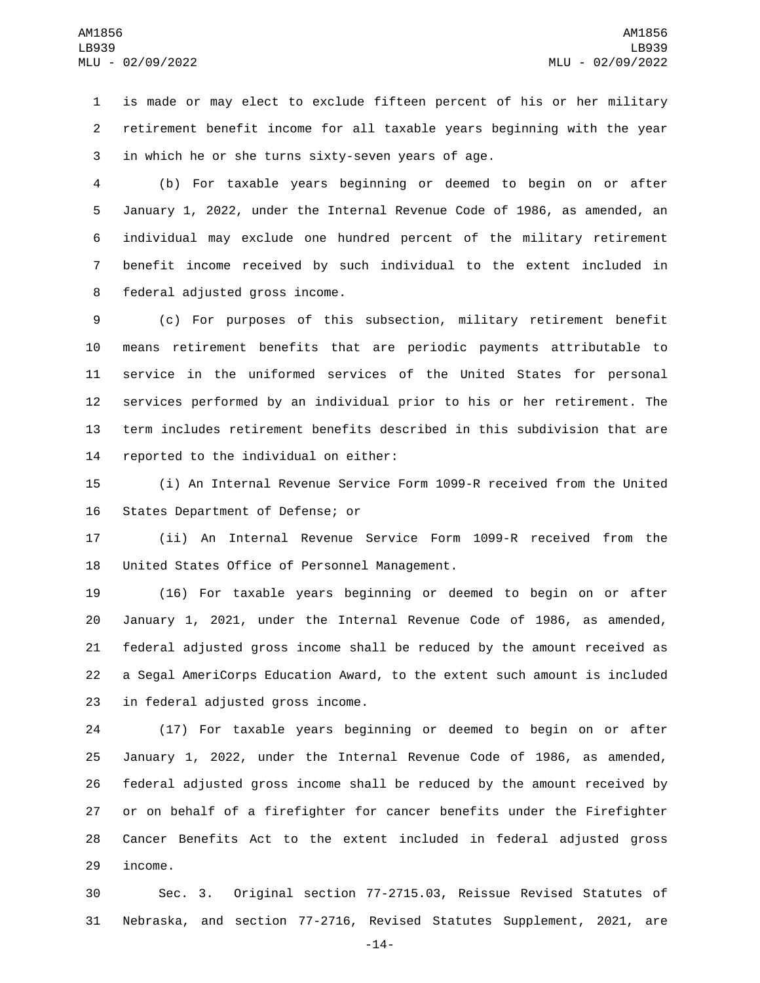is made or may elect to exclude fifteen percent of his or her military retirement benefit income for all taxable years beginning with the year 3 in which he or she turns sixty-seven years of age.

 (b) For taxable years beginning or deemed to begin on or after January 1, 2022, under the Internal Revenue Code of 1986, as amended, an individual may exclude one hundred percent of the military retirement benefit income received by such individual to the extent included in 8 federal adjusted gross income.

 (c) For purposes of this subsection, military retirement benefit means retirement benefits that are periodic payments attributable to service in the uniformed services of the United States for personal services performed by an individual prior to his or her retirement. The term includes retirement benefits described in this subdivision that are 14 reported to the individual on either:

 (i) An Internal Revenue Service Form 1099-R received from the United 16 States Department of Defense; or

 (ii) An Internal Revenue Service Form 1099-R received from the 18 United States Office of Personnel Management.

 (16) For taxable years beginning or deemed to begin on or after January 1, 2021, under the Internal Revenue Code of 1986, as amended, federal adjusted gross income shall be reduced by the amount received as a Segal AmeriCorps Education Award, to the extent such amount is included 23 in federal adjusted gross income.

 (17) For taxable years beginning or deemed to begin on or after January 1, 2022, under the Internal Revenue Code of 1986, as amended, federal adjusted gross income shall be reduced by the amount received by or on behalf of a firefighter for cancer benefits under the Firefighter Cancer Benefits Act to the extent included in federal adjusted gross 29 income.

 Sec. 3. Original section 77-2715.03, Reissue Revised Statutes of Nebraska, and section 77-2716, Revised Statutes Supplement, 2021, are

-14-